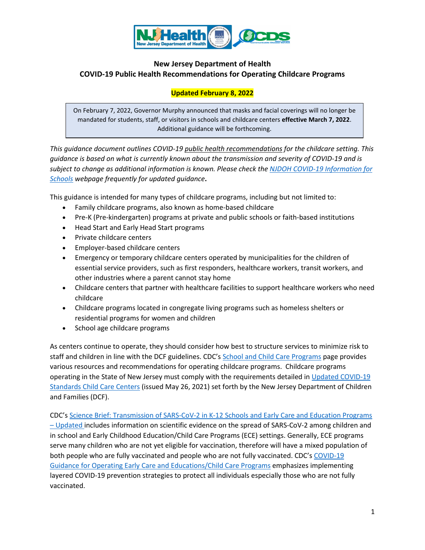

# **New Jersey Department of Health COVID-19 Public Health Recommendations for Operating Childcare Programs**

## **Updated February 8, 2022**

On February 7, 2022, Governor Murphy announced that masks and facial coverings will no longer be mandated for students, staff, or visitors in schools and childcare centers **effective March 7, 2022**. Additional guidance will be forthcoming.

*This guidance document outlines COVID-19 public health recommendations for the childcare setting. This guidance is based on what is currently known about the transmission and severity of COVID-19 and is subject to change as additional information is known. Please check th[e NJDOH COVID-19 Information for](https://www.state.nj.us/health/cd/topics/covid2019_schools.shtml)  [Schools](https://www.state.nj.us/health/cd/topics/covid2019_schools.shtml) webpage frequently for updated guidance***.** 

This guidance is intended for many types of childcare programs, including but not limited to:

- Family childcare programs, also known as home-based childcare
- Pre-K (Pre-kindergarten) programs at private and public schools or faith-based institutions
- Head Start and Early Head Start programs
- Private childcare centers
- Employer-based childcare centers
- Emergency or temporary childcare centers operated by municipalities for the children of essential service providers, such as first responders, healthcare workers, transit workers, and other industries where a parent cannot stay home
- Childcare centers that partner with healthcare facilities to support healthcare workers who need childcare
- Childcare programs located in congregate living programs such as homeless shelters or residential programs for women and children
- School age childcare programs

As centers continue to operate, they should consider how best to structure services to minimize risk to staff and children in line with the DCF guidelines. CDC's [School and Child Care Programs](https://www.cdc.gov/coronavirus/2019-ncov/community/schools-childcare/index.html) page provides various resources and recommendations for operating childcare programs. Childcare programs operating in the State of New Jersey must comply with the requirements detailed in Updated COVID-19 [Standards Child Care Centers](https://www.nj.gov/dcf/news/COVID_Licensed_Childcare_Guidance_052621.pdf) (issued May 26, 2021) set forth by the New Jersey Department of Children and Families (DCF).

CDC's [Science Brief: Transmission of SARS-CoV-2 in K-12 Schools and Early Care and Education Programs](https://www.cdc.gov/coronavirus/2019-ncov/science/science-briefs/transmission_k_12_schools.html)  – [Updated](https://www.cdc.gov/coronavirus/2019-ncov/science/science-briefs/transmission_k_12_schools.html) includes information on scientific evidence on the spread of SARS-CoV-2 among children and in school and Early Childhood Education/Child Care Programs (ECE) settings. Generally, ECE programs serve many children who are not yet eligible for vaccination, therefore will have a mixed population of both people who are fully vaccinated and people who are not fully vaccinated. CDC's [COVID-19](https://www.cdc.gov/coronavirus/2019-ncov/community/schools-childcare/child-care-guidance.html)  [Guidance for Operating Early Care and Educations/Child Care Programs](https://www.cdc.gov/coronavirus/2019-ncov/community/schools-childcare/child-care-guidance.html) emphasizes implementing layered COVID-19 prevention strategies to protect all individuals especially those who are not fully vaccinated.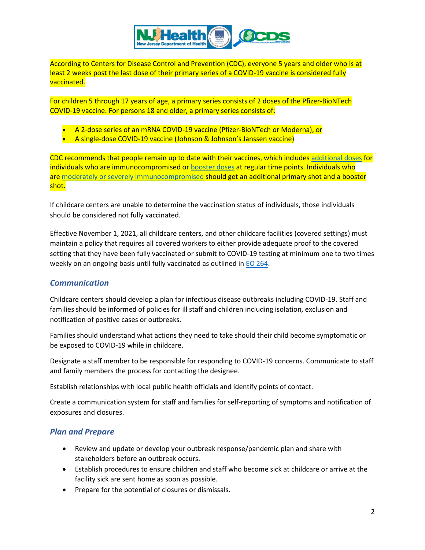

According to Centers for Disease Control and Prevention (CDC), everyone 5 years and older who is at least 2 weeks post the last dose of their primary series of a COVID-19 vaccine is considered fully vaccinated.

For children 5 through 17 years of age, a primary series consists of 2 doses of the Pfizer-BioNTech COVID-19 vaccine. For persons 18 and older, a primary series consists of:

- A 2-dose series of an mRNA COVID-19 vaccine (Pfizer-BioNTech or Moderna), or
- A single-dose COVID-19 vaccine (Johnson & Johnson's Janssen vaccine)

CDC recommends that people remain up to date with their vaccines, which includes [additional doses](https://www.cdc.gov/coronavirus/2019-ncov/vaccines/recommendations/immuno.html) for individuals who are immunocompromised or [booster doses](https://www.cdc.gov/coronavirus/2019-ncov/vaccines/booster-shot.html) at regular time points. Individuals who are [moderately or severely immunocompromised](https://www.cdc.gov/coronavirus/2019-ncov/vaccines/recommendations/immuno.html) should get an additional primary shot and a booster shot.

If childcare centers are unable to determine the vaccination status of individuals, those individuals should be considered not fully vaccinated.

Effective November 1, 2021, all childcare centers, and other childcare facilities (covered settings) must maintain a policy that requires all covered workers to either provide adequate proof to the covered setting that they have been fully vaccinated or submit to COVID-19 testing at minimum one to two times weekly on an ongoing basis until fully vaccinated as outlined in **EO 264**.

### *Communication*

Childcare centers should develop a plan for infectious disease outbreaks including COVID-19. Staff and families should be informed of policies for ill staff and children including isolation, exclusion and notification of positive cases or outbreaks.

Families should understand what actions they need to take should their child become symptomatic or be exposed to COVID-19 while in childcare.

Designate a staff member to be responsible for responding to COVID-19 concerns. Communicate to staff and family members the process for contacting the designee.

Establish relationships with local public health officials and identify points of contact.

Create a communication system for staff and families for self-reporting of symptoms and notification of exposures and closures.

## *Plan and Prepare*

- Review and update or develop your outbreak response/pandemic plan and share with stakeholders before an outbreak occurs.
- Establish procedures to ensure children and staff who become sick at childcare or arrive at the facility sick are sent home as soon as possible.
- Prepare for the potential of closures or dismissals.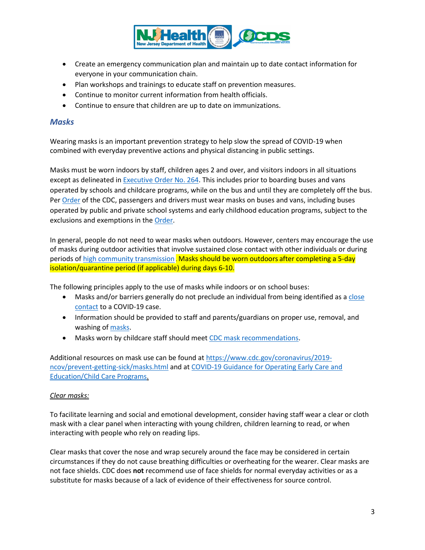

- Create an emergency communication plan and maintain up to date contact information for everyone in your communication chain.
- Plan workshops and trainings to educate staff on prevention measures.
- Continue to monitor current information from health officials.
- Continue to ensure that children are up to date on immunizations.

### *Masks*

Wearing masks is an important prevention strategy to help slow the spread of COVID-19 when combined with everyday preventive actions and physical distancing in public settings.

Masks must be worn indoors by staff, children ages 2 and over, and visitors indoors in all situations except as delineated in [Executive Order No. 264.](https://nj.gov/infobank/eo/056murphy/pdf/EO-264.pdf) This includes prior to boarding buses and vans operated by schools and childcare programs, while on the bus and until they are completely off the bus. Pe[r Order](https://www.cdc.gov/quarantine/pdf/Mask-Order-CDC_GMTF_01-29-21-p.pdf) of the CDC, passengers and drivers must wear masks on buses and vans, including buses operated by public and private school systems and early childhood education programs, subject to the exclusions and exemptions in the **Order**.

In general, people do not need to wear masks when outdoors. However, centers may encourage the use of masks during outdoor activities that involve sustained close contact with other individuals or during periods o[f high community transmission](https://www.nj.gov/health/cd/statistics/covid/#1) . Masks should be worn outdoors after completing a 5-day isolation/quarantine period (if applicable) during days 6-10.

The following principles apply to the use of masks while indoors or on school buses:

- Masks and/or barriers generally do not preclude an individual from being identified as a close contact [to a COVID-19 case.](#page-11-0)
- Information should be provided to staff and parents/guardians on proper use, removal, and washing of [masks.](https://www.cdc.gov/coronavirus/2019-ncov/prevent-getting-sick/diy-cloth-face-coverings.html)
- Masks worn by childcare staff should mee[t CDC mask recommendations.](https://www.cdc.gov/coronavirus/2019-ncov/prevent-getting-sick/about-face-coverings.html)

Additional resources on mask use can be found at [https://www.cdc.gov/coronavirus/2019](https://www.cdc.gov/coronavirus/2019-ncov/prevent-getting-sick/masks.html) [ncov/prevent-getting-sick/masks.html](https://www.cdc.gov/coronavirus/2019-ncov/prevent-getting-sick/masks.html) and at [COVID-19 Guidance for Operating Early Care and](https://www.cdc.gov/coronavirus/2019-ncov/community/schools-childcare/child-care-guidance.html#mask-use)  [Education/Child Care Programs.](https://www.cdc.gov/coronavirus/2019-ncov/community/schools-childcare/child-care-guidance.html#mask-use)

### *Clear masks:*

To facilitate learning and social and emotional development, consider having staff wear a clear or cloth mask with a clear panel when interacting with young children, children learning to read, or when interacting with people who rely on reading lips.

Clear masks that cover the nose and wrap securely around the face may be considered in certain circumstances if they do not cause breathing difficulties or overheating for the wearer. Clear masks are not face shields. CDC does **not** recommend use of face shields for normal everyday activities or as a substitute for masks because of a lack of evidence of their effectiveness for source control.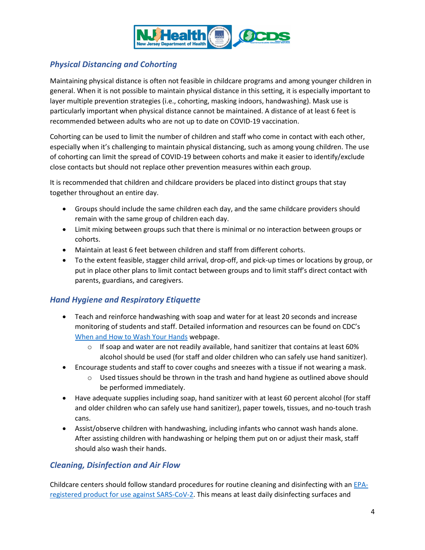

# *Physical Distancing and Cohorting*

Maintaining physical distance is often not feasible in childcare programs and among younger children in general. When it is not possible to maintain physical distance in this setting, it is especially important to layer multiple prevention strategies (i.e., cohorting, masking indoors, handwashing). Mask use is particularly important when physical distance cannot be maintained. A distance of at least 6 feet is recommended between adults who are not up to date on COVID-19 vaccination.

Cohorting can be used to limit the number of children and staff who come in contact with each other, especially when it's challenging to maintain physical distancing, such as among young children. The use of cohorting can limit the spread of COVID-19 between cohorts and make it easier to identify/exclude close contacts but should not replace other prevention measures within each group.

It is recommended that children and childcare providers be placed into distinct groups that stay together throughout an entire day.

- Groups should include the same children each day, and the same childcare providers should remain with the same group of children each day.
- Limit mixing between groups such that there is minimal or no interaction between groups or cohorts.
- Maintain at least 6 feet between children and staff from different cohorts.
- To the extent feasible, stagger child arrival, drop-off, and pick-up times or locations by group, or put in place other plans to limit contact between groups and to limit staff's direct contact with parents, guardians, and caregivers.

## *Hand Hygiene and Respiratory Etiquette*

- Teach and reinforce handwashing with soap and water for at least 20 seconds and increase monitoring of students and staff. Detailed information and resources can be found on CDC's [When and How to Wash Your Hands](https://www.cdc.gov/handwashing/when-how-handwashing.html) webpage.
	- $\circ$  If soap and water are not readily available, hand sanitizer that contains at least 60% alcohol should be used (for staff and older children who can safely use hand sanitizer).
- Encourage students and staff to cover coughs and sneezes with a tissue if not wearing a mask.
	- $\circ$  Used tissues should be thrown in the trash and hand hygiene as outlined above should be performed immediately.
- Have adequate supplies including soap, hand sanitizer with at least 60 percent alcohol (for staff and older children who can safely use hand sanitizer), paper towels, tissues, and no-touch trash cans.
- Assist/observe children with handwashing, including infants who cannot wash hands alone. After assisting children with handwashing or helping them put on or adjust their mask, staff should also wash their hands.

# <span id="page-3-0"></span>*Cleaning, Disinfection and Air Flow*

Childcare centers should follow standard procedures for routine cleaning and disinfecting with an [EPA](https://www.epa.gov/pesticide-registration/list-n-disinfectants-use-against-sars-cov-2-covid-19)[registered product for use against SARS-CoV-2.](https://www.epa.gov/pesticide-registration/list-n-disinfectants-use-against-sars-cov-2-covid-19) This means at least daily disinfecting surfaces and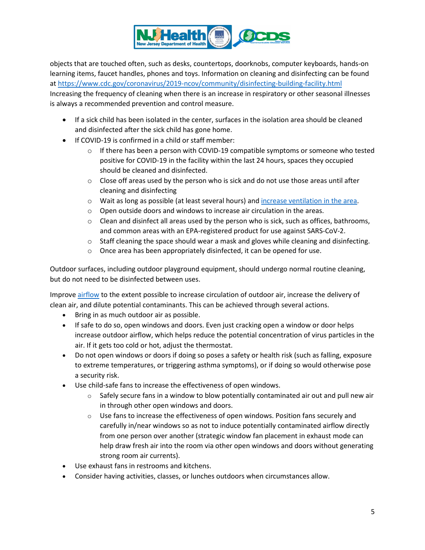

objects that are touched often, such as desks, countertops, doorknobs, computer keyboards, hands-on learning items, faucet handles, phones and toys. Information on cleaning and disinfecting can be found at<https://www.cdc.gov/coronavirus/2019-ncov/community/disinfecting-building-facility.html> Increasing the frequency of cleaning when there is an increase in respiratory or other seasonal illnesses is always a recommended prevention and control measure.

- If a sick child has been isolated in the center, surfaces in the isolation area should be cleaned and disinfected after the sick child has gone home.
- If COVID-19 is confirmed in a child or staff member:
	- o If there has been a person with COVID-19 compatible symptoms or someone who tested positive for COVID-19 in the facility within the last 24 hours, spaces they occupied should be cleaned and disinfected.
	- $\circ$  Close off areas used by the person who is sick and do not use those areas until after cleaning and disinfecting
	- o Wait as long as possible (at least several hours) and [increase ventilation](https://www.cdc.gov/coronavirus/2019-ncov/community/disinfecting-building-facility.html/clean#anchor_1617551661760) in the area.
	- o Open outside doors and windows to increase air circulation in the areas.
	- $\circ$  Clean and disinfect all areas used by the person who is sick, such as offices, bathrooms, and common areas with an [EPA-registered product for use against SARS-CoV-2.](https://shttps/www.epa.gov/pesticide-registration/list-n-disinfectants-useagainst-sars-cov-2)
	- $\circ$  Staff cleaning the space should wear a mask and gloves while cleaning and disinfecting.
	- o Once area has been appropriately disinfected, it can be opened for use.

Outdoor surfaces, including outdoor playground equipment, should undergo normal routine cleaning, but do not need to be disinfected between uses.

Improve [airflow](https://www.cdc.gov/coronavirus/2019-ncov/community/schools-childcare/ventilation.html) to the extent possible to increase circulation of outdoor air, increase the delivery of clean air, and dilute potential contaminants. This can be achieved through several actions.

- Bring in as much outdoor air as possible.
- If safe to do so, open windows and doors. Even just cracking open a window or door helps increase outdoor airflow, which helps reduce the potential concentration of virus particles in the air. If it gets too cold or hot, adjust the thermostat.
- Do not open windows or doors if doing so poses a safety or health risk (such as falling, exposure to extreme temperatures, or triggering asthma symptoms), or if doing so would otherwise pose a security risk.
- Use child-safe fans to increase the effectiveness of open windows.
	- $\circ$  Safely secure fans in a window to blow potentially contaminated air out and pull new air in through other open windows and doors.
	- $\circ$  Use fans to increase the effectiveness of open windows. Position fans securely and carefully in/near windows so as not to induce potentially contaminated airflow directly from one person over another (strategic window fan placement in exhaust mode can help draw fresh air into the room via other open windows and doors without generating strong room air currents).
- Use exhaust fans in restrooms and kitchens.
- Consider having activities, classes, or lunches outdoors when circumstances allow.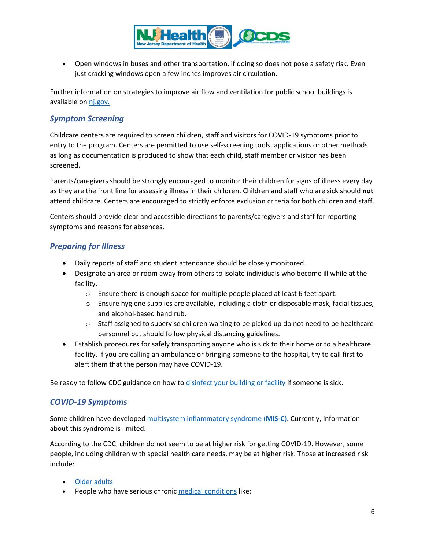

• Open windows in buses and other transportation, if doing so does not pose a safety risk. Even just cracking windows open a few inches improves air circulation.

Further information on strategies to improve air flow and ventilation for public school buildings is available on [nj.gov.](https://www.nj.gov/health/workplacehealthandsafety/documents/peosh/njdoh%20iaq%20public%20schools_covid19.pdf) 

## *Symptom Screening*

Childcare centers are required to screen children, staff and visitors for COVID-19 symptoms prior to entry to the program. Centers are permitted to use self-screening tools, applications or other methods as long as documentation is produced to show that each child, staff member or visitor has been screened.

Parents/caregivers should be strongly encouraged to monitor their children for signs of illness every day as they are the front line for assessing illness in their children. Children and staff who are sick should **not** attend childcare. Centers are encouraged to strictly enforce exclusion criteria for both children and staff.

Centers should provide clear and accessible directions to parents/caregivers and staff for reporting symptoms and reasons for absences.

# *Preparing for Illness*

- Daily reports of staff and student attendance should be closely monitored.
- Designate an area or room away from others to isolate individuals who become ill while at the facility.
	- o Ensure there is enough space for multiple people placed at least 6 feet apart.
	- $\circ$  Ensure hygiene supplies are available, including a cloth or disposable mask, facial tissues, and alcohol-based hand rub.
	- $\circ$  Staff assigned to supervise children waiting to be picked up do not need to be healthcare personnel but should follow physical distancing guidelines.
- Establish procedures for safely transporting anyone who is sick to their home or to a healthcare facility. If you are calling an ambulance or bringing someone to the hospital, try to call first to alert them that the person may have COVID-19.

Be ready to follow CDC guidance on how to [disinfect your building or facility](https://www.cdc.gov/coronavirus/2019-ncov/community/disinfecting-building-facility.html) if someone is sick.

## *COVID-19 Symptoms*

Some children have developed [multisystem inflammatory syndrome \(](https://www.cdc.gov/coronavirus/2019-ncov/daily-life-coping/children/mis-c.html)**MIS-C**). Currently, information about this syndrome is limited.

According to the CDC, children do not seem to be at higher risk for getting COVID-19. However, some people, including children with special health care needs, may be at higher risk. Those at increased risk include:

- [Older adults](https://www.cdc.gov/coronavirus/2019-ncov/need-extra-precautions/older-adults.html)
- People who have serious chronic [medical conditions](https://www.cdc.gov/coronavirus/2019-ncov/need-extra-precautions/people-with-medical-conditions.html?CDC_AA_refVal=https%3A%2F%2Fwww.cdc.gov%2Fcoronavirus%2F2019-ncov%2Fneed-extra-precautions%2Fgroups-at-higher-risk.html) like: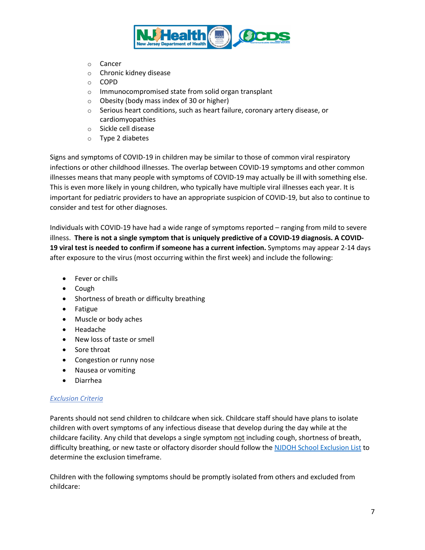

- o Cancer
- o Chronic kidney disease
- o COPD
- o Immunocompromised state from solid organ transplant
- o Obesity (body mass index of 30 or higher)
- o Serious heart conditions, such as heart failure, coronary artery disease, or cardiomyopathies
- o Sickle cell disease
- o Type 2 diabetes

Signs and symptoms of COVID-19 in children may be similar to those of common viral respiratory infections or other childhood illnesses. The overlap between COVID-19 symptoms and other common illnesses means that many people with symptoms of COVID-19 may actually be ill with something else. This is even more likely in young children, who typically have multiple viral illnesses each year. It is important for pediatric providers to have an appropriate suspicion of COVID-19, but also to continue to consider and test for other diagnoses.

Individuals with COVID-19 have had a wide range of symptoms reported – ranging from mild to severe illness. **There is not a single symptom that is uniquely predictive of a COVID-19 diagnosis. A COVID-19 [viral test](https://www.cdc.gov/coronavirus/2019-ncov/symptoms-testing/testing.html) is needed to confirm if someone has a current infection.** Symptoms may appear 2-14 days after exposure to the virus (most occurring within the first week) and include the following:

- Fever or chills
- Cough
- Shortness of breath or difficulty breathing
- Fatigue
- Muscle or body aches
- Headache
- New loss of taste or smell
- Sore throat
- Congestion or runny nose
- Nausea or vomiting
- Diarrhea

#### *Exclusion Criteria*

Parents should not send children to childcare when sick. Childcare staff should have plans to isolate children with overt symptoms of any infectious disease that develop during the day while at the childcare facility. Any child that develops a single symptom not including cough, shortness of breath, difficulty breathing, or new taste or olfactory disorder should follow the [NJDOH School Exclusion List](https://www.nj.gov/health/cd/documents/School%20Exclusion%20List%20_revised%207.10.2017.pdf) to determine the exclusion timeframe.

Children with the following symptoms should be promptly isolated from others and excluded from childcare: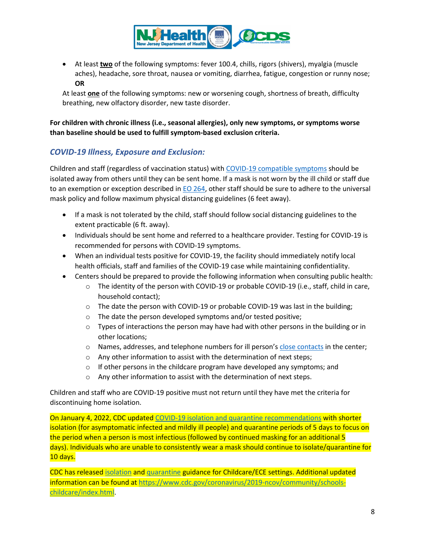

• At least **two** of the following symptoms: fever 100.4, chills, rigors (shivers), myalgia (muscle aches), headache, sore throat, nausea or vomiting, diarrhea, fatigue, congestion or runny nose; **OR**

At least **one** of the following symptoms: new or worsening cough, shortness of breath, difficulty breathing, new olfactory disorder, new taste disorder.

**For children with chronic illness (i.e., seasonal allergies), only new symptoms, or symptoms worse than baseline should be used to fulfill symptom-based exclusion criteria.**

# *COVID-19 Illness, Exposure and Exclusion:*

Children and staff (regardless of vaccination status) with [COVID-19 compatible symptoms](#page-8-0) should be isolated away from others until they can be sent home. If a mask is not worn by the ill child or staff due to an exemption or exception described in [EO 264,](https://nj.gov/infobank/eo/056murphy/pdf/EO-264.pdf) other staff should be sure to adhere to the universal mask policy and follow maximum physical distancing guidelines (6 feet away).

- If a mask is not tolerated by the child, staff should follow social distancing guidelines to the extent practicable (6 ft. away).
- Individuals should be sent home and referred to a healthcare provider. Testing for COVID-19 is recommended for persons with COVID-19 symptoms.
- When an individual tests positive for COVID-19, the facility should immediately notify local health officials, staff and families of the COVID-19 case while maintaining confidentiality.
- Centers should be prepared to provide the following information when consulting public health:
	- o The identity of the person with COVID-19 or probable COVID-19 (i.e., staff, child in care, household contact);
	- $\circ$  The date the person with COVID-19 or probable COVID-19 was last in the building;
	- o The date the person developed symptoms and/or tested positive;
	- $\circ$  Types of interactions the person may have had with other persons in the building or in other locations;
	- o Names, addresses, and telephone numbers for ill person's [close contacts](#page-11-0) in the center;
	- $\circ$  Any other information to assist with the determination of next steps;
	- o If other persons in the childcare program have developed any symptoms; and
	- o Any other information to assist with the determination of next steps.

Children and staff who are COVID-19 positive must not return until they have met the criteria for discontinuing home isolation.

On January 4, 2022, CDC updated [COVID-19 isolation and quarantine recommendations](https://www.cdc.gov/coronavirus/2019-ncov/your-health/quarantine-isolation.html) with shorter isolation (for asymptomatic infected and mildly ill people) and quarantine periods of 5 days to focus on the period when a person is most infectious (followed by continued masking for an additional 5 days). Individuals who are unable to consistently wear a mask should continue to isolate/quarantine for 10 days.

CDC has release[d isolation](https://www.cdc.gov/coronavirus/2019-ncov/community/schools-childcare/k-12-contact-tracing/about-isolation.html) and [quarantine](https://www.cdc.gov/coronavirus/2019-ncov/community/schools-childcare/k-12-contact-tracing/about-quarantine.html) guidance for Childcare/ECE settings. Additional updated information can be found at [https://www.cdc.gov/coronavirus/2019-ncov/community/schools](https://www.cdc.gov/coronavirus/2019-ncov/community/schools-childcare/index.html)[childcare/index.html.](https://www.cdc.gov/coronavirus/2019-ncov/community/schools-childcare/index.html)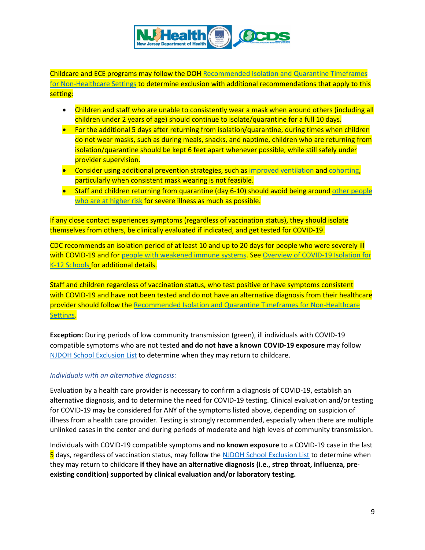

<span id="page-8-0"></span>Childcare and ECE programs may follow the DO[H Recommended Isolation and Quarantine Timeframes](https://www.nj.gov/health/cd/documents/topics/NCOV/isolation_quarantine_nonhealthcare.pdf)  [for Non-Healthcare Settings](https://www.nj.gov/health/cd/documents/topics/NCOV/isolation_quarantine_nonhealthcare.pdf) to determine exclusion with additional recommendations that apply to this setting:

- Children and staff who are unable to consistently wear a mask when around others (including all children under 2 years of age) should continue to isolate/quarantine for a full 10 days.
- For the additional 5 days after returning from isolation/quarantine, during times when children do not wear masks, such as during meals, snacks, and naptime, children who are returning from isolation/quarantine should be kept 6 feet apart whenever possible, while still safely under provider supervision.
- Consider using additional prevention strategies, such as [improved ventilation](https://www.cdc.gov/coronavirus/2019-ncov/community/schools-childcare/ventilation.html) and [cohorting,](https://www.cdc.gov/coronavirus/2019-ncov/community/schools-childcare/child-care-guidance.html#cohorting) particularly when consistent mask wearing is not feasible.
- Staff and children returning from quarantine (day 6-10) should avoid being around other people [who are at higher risk](https://www.cdc.gov/coronavirus/2019-ncov/need-extra-precautions/people-with-medical-conditions.html) for severe illness as much as possible.

If any close contact experiences symptoms (regardless of vaccination status), they should isolate themselves from others, be clinically evaluated if indicated, and get tested for COVID-19.

CDC recommends an isolation period of at least 10 and up to 20 days for people who were severely ill with COVID-19 and for [people with weakened immune systems.](https://www.cdc.gov/coronavirus/2019-ncov/need-extra-precautions/people-with-medical-conditions.html) Se[e Overview of COVID-19 Isolation for](https://www.cdc.gov/coronavirus/2019-ncov/community/schools-childcare/k-12-contact-tracing/about-isolation.html)  [K-12 Schools](https://www.cdc.gov/coronavirus/2019-ncov/community/schools-childcare/k-12-contact-tracing/about-isolation.html) for additional details.

Staff and children regardless of vaccination status, who test positive or have symptoms consistent with COVID-19 and have not been tested and do not have an alternative diagnosis from their healthcare provider should follow th[e Recommended Isolation and Quarantine Timeframes for Non-Healthcare](https://www.nj.gov/health/cd/documents/topics/NCOV/isolation_quarantine_nonhealthcare.pdf)  [Settings.](https://www.nj.gov/health/cd/documents/topics/NCOV/isolation_quarantine_nonhealthcare.pdf)

**Exception:** During periods of low community transmission (green), ill individuals with COVID-19 compatible symptoms who are not tested **and do not have a known COVID-19 exposure** may follow [NJDOH School Exclusion List](https://www.nj.gov/health/cd/documents/topics/outbreaks/School%20Exclusion%20List_9.2018.pdf) to determine when they may return to childcare.

### *Individuals with an alternative diagnosis:*

Evaluation by a health care provider is necessary to confirm a diagnosis of COVID-19, establish an alternative diagnosis, and to determine the need for COVID-19 testing. Clinical evaluation and/or testing for COVID-19 may be considered for ANY of the symptoms listed above, depending on suspicion of illness from a health care provider. Testing is strongly recommended, especially when there are multiple unlinked cases in the center and during periods of moderate and high levels of community transmission.

Individuals with COVID-19 compatible symptoms **and no known exposure** to a COVID-19 case in the last 5 days, regardless of vaccination status, may follow th[e NJDOH School Exclusion List](https://sonj.sharepoint.com/sites/health/EEOH/Novel%20Coronavirus/Guidance%20Documents/Schools_CC_University/Reopening%20Childcare/NJDOH%20School%20Exclusion%20List) to determine when they may return to childcare **if they have an alternative diagnosis (i.e., strep throat, influenza, preexisting condition) supported by clinical evaluation and/or laboratory testing.**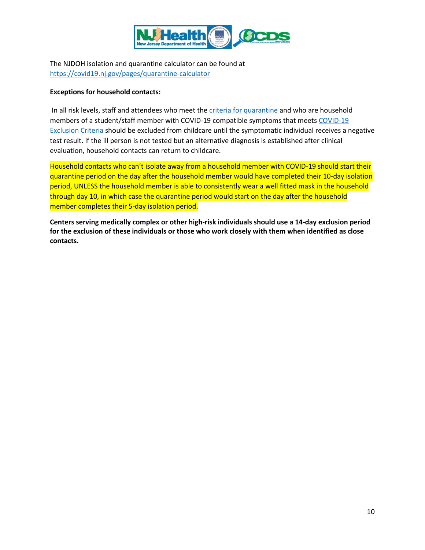

The NJDOH isolation and quarantine calculator can be found at <https://covid19.nj.gov/pages/quarantine-calculator>

#### <span id="page-9-0"></span>**Exceptions for household contacts:**

In all risk levels, staff and attendees who meet the criteria for quarantine and who are household members of a student/staff member with COVID-19 compatible symptoms that meets [COVID-19](#page-8-0)  [Exclusion Criteria](#page-8-0) should be excluded from childcare until the symptomatic individual receives a negative test result. If the ill person is not tested but an alternative diagnosis is established after clinical evaluation, household contacts can return to childcare.

Household contacts who can't isolate away from a household member with COVID-19 should start their quarantine period on the day after the household member would have completed their 10-day isolation period, UNLESS the household member is able to consistently wear a well fitted mask in the household through day 10, in which case the quarantine period would start on the day after the household member completes their 5-day isolation period.

**Centers serving medically complex or other high-risk individuals should use a 14-day exclusion period for the exclusion of these individuals or those who work closely with them when identified as close contacts.**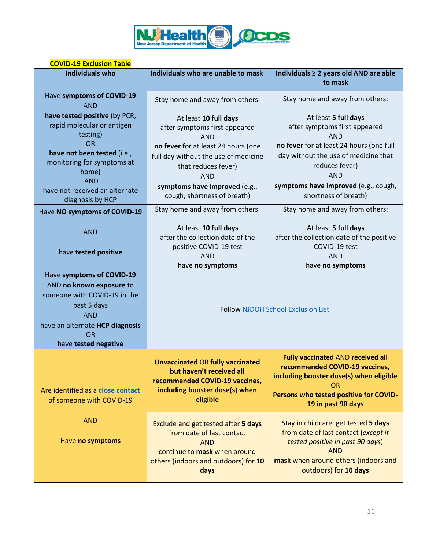

### **COVID-19 Exclusion Table**

| <b>Individuals who</b>                                        | Individuals who are unable to mask                                                                                                                             | Individuals ≥ 2 years old AND are able<br>to mask                                                                                                                                                  |
|---------------------------------------------------------------|----------------------------------------------------------------------------------------------------------------------------------------------------------------|----------------------------------------------------------------------------------------------------------------------------------------------------------------------------------------------------|
| Have symptoms of COVID-19<br><b>AND</b>                       | Stay home and away from others:                                                                                                                                | Stay home and away from others:                                                                                                                                                                    |
| have tested positive (by PCR,                                 | At least 10 full days                                                                                                                                          | At least 5 full days                                                                                                                                                                               |
| rapid molecular or antigen                                    | after symptoms first appeared                                                                                                                                  | after symptoms first appeared                                                                                                                                                                      |
| testing)                                                      | <b>AND</b>                                                                                                                                                     | <b>AND</b>                                                                                                                                                                                         |
| <b>OR</b>                                                     | no fever for at least 24 hours (one                                                                                                                            | no fever for at least 24 hours (one full                                                                                                                                                           |
| have not been tested (i.e.,                                   | full day without the use of medicine                                                                                                                           | day without the use of medicine that                                                                                                                                                               |
| monitoring for symptoms at<br>home)                           | that reduces fever)                                                                                                                                            | reduces fever)                                                                                                                                                                                     |
| <b>AND</b>                                                    | <b>AND</b>                                                                                                                                                     | <b>AND</b>                                                                                                                                                                                         |
| have not received an alternate                                | symptoms have improved (e.g.,                                                                                                                                  | symptoms have improved (e.g., cough,                                                                                                                                                               |
| diagnosis by HCP                                              | cough, shortness of breath)                                                                                                                                    | shortness of breath)                                                                                                                                                                               |
| Have NO symptoms of COVID-19                                  | Stay home and away from others:                                                                                                                                | Stay home and away from others:                                                                                                                                                                    |
| <b>AND</b>                                                    | At least 10 full days                                                                                                                                          | At least 5 full days                                                                                                                                                                               |
|                                                               | after the collection date of the                                                                                                                               | after the collection date of the positive                                                                                                                                                          |
| have tested positive                                          | positive COVID-19 test                                                                                                                                         | COVID-19 test                                                                                                                                                                                      |
|                                                               | <b>AND</b>                                                                                                                                                     | <b>AND</b>                                                                                                                                                                                         |
|                                                               | have no symptoms                                                                                                                                               | have no symptoms                                                                                                                                                                                   |
| Have symptoms of COVID-19                                     |                                                                                                                                                                |                                                                                                                                                                                                    |
| AND no known exposure to                                      |                                                                                                                                                                |                                                                                                                                                                                                    |
| someone with COVID-19 in the                                  |                                                                                                                                                                |                                                                                                                                                                                                    |
| past 5 days                                                   | Follow NJDOH School Exclusion List                                                                                                                             |                                                                                                                                                                                                    |
| <b>AND</b>                                                    |                                                                                                                                                                |                                                                                                                                                                                                    |
| have an alternate HCP diagnosis<br><b>OR</b>                  |                                                                                                                                                                |                                                                                                                                                                                                    |
| have tested negative                                          |                                                                                                                                                                |                                                                                                                                                                                                    |
|                                                               |                                                                                                                                                                |                                                                                                                                                                                                    |
| Are identified as a close contact<br>of someone with COVID-19 | <b>Unvaccinated OR fully vaccinated</b><br>but haven't received all<br>recommended COVID-19 vaccines,<br>including booster dose(s) when<br>eligible            | <b>Fully vaccinated AND received all</b><br>recommended COVID-19 vaccines,<br>including booster dose(s) when eligible<br><b>OR</b><br>Persons who tested positive for COVID-<br>19 in past 90 days |
| <b>AND</b><br>Have no symptoms                                | Exclude and get tested after 5 days<br>from date of last contact<br><b>AND</b><br>continue to mask when around<br>others (indoors and outdoors) for 10<br>days | Stay in childcare, get tested 5 days<br>from date of last contact (except if<br>tested positive in past 90 days)<br><b>AND</b><br>mask when around others (indoors and<br>outdoors) for 10 days    |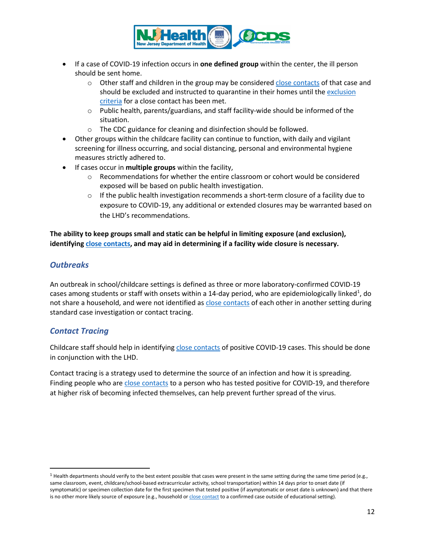

- If a case of COVID-19 infection occurs in **one defined group** within the center, the ill person should be sent home.
	- $\circ$  Other staff and children in the group may be considered [close contacts](#page-11-0) of that case and should be excluded and instructed to quarantine in their homes until the [exclusion](#page-9-0)  [criteria](#page-9-0) for a close contact has been met.
	- o Public health, parents/guardians, and staff facility-wide should be informed of the situation.
	- o The CDC guidance for cleaning and disinfection should be followed.
- Other groups within the childcare facility can continue to function, with daily and vigilant screening for illness occurring, and social distancing, personal and environmental hygiene measures strictly adhered to.
- If cases occur in **multiple groups** within the facility,
	- $\circ$  Recommendations for whether the entire classroom or cohort would be considered exposed will be based on public health investigation.
	- $\circ$  If the public health investigation recommends a short-term closure of a facility due to exposure to COVID-19, any additional or extended closures may be warranted based on the LHD's recommendations.

**The ability to keep groups small and static can be helpful in limiting exposure (and exclusion), identifyin[g close contacts,](#page-11-0) and may aid in determining if a facility wide closure is necessary.**

# *Outbreaks*

An outbreak in school/childcare settings is defined as three or more laboratory-confirmed COVID-19 cases among students or staff with onsets within a [1](#page-11-1)4-day period, who are epidemiologically linked<sup>1</sup>, do not share a household, and were not identified a[s close contacts](#page-11-0) of each other in another setting during standard case investigation or contact tracing.

## *Contact Tracing*

<span id="page-11-0"></span>Childcare staff should help in identifying [close contacts](#page-11-0) of positive COVID-19 cases. This should be done in conjunction with the LHD.

Contact tracing is a strategy used to determine the source of an infection and how it is spreading. Finding people who are [close contacts](#page-11-0) to a person who has tested positive for COVID-19, and therefore at higher risk of becoming infected themselves, can help prevent further spread of the virus.

<span id="page-11-1"></span> $1$  Health departments should verify to the best extent possible that cases were present in the same setting during the same time period (e.g., same classroom, event, childcare/school-based extracurricular activity, school transportation) within 14 days prior to onset date (if symptomatic) or specimen collection date for the first specimen that tested positive (if asymptomatic or onset date is unknown) and that there is no other more likely source of exposure (e.g., household or close [contact](#page-11-0) to a confirmed case outside of educational setting).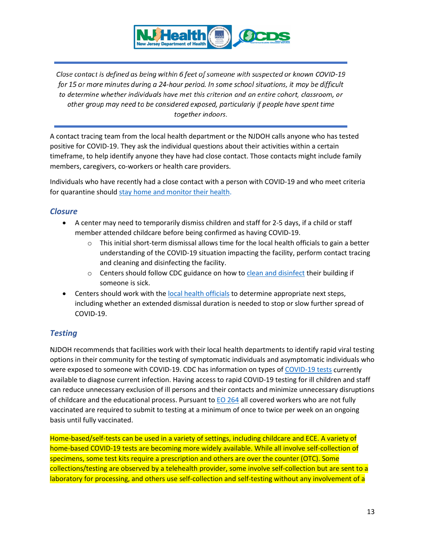

Close contact is defined as being within 6 feet of someone with suspected or known COVID-19 for 15 or more minutes during a 24-hour period. In some school situations, it may be difficult to determine whether individuals have met this criterion and an entire cohort, classroom, or other group may need to be considered exposed, particularly if people have spent time together indoors.

A contact tracing team from the local health department or the NJDOH calls anyone who has tested positive for COVID-19. They ask the individual questions about their activities within a certain timeframe, to help identify anyone they have had close contact. Those contacts might include family members, caregivers, co-workers or health care providers.

Individuals who have recently had a close contact with a person with COVID-19 and who meet criteria for quarantine shoul[d stay home and monitor their health.](https://www.cdc.gov/coronavirus/2019-ncov/if-you-are-sick/steps-when-sick.html)

## *Closure*

- A center may need to temporarily dismiss children and staff for 2-5 days, if a child or staff member attended childcare before being confirmed as having COVID-19.
	- $\circ$  This initial short-term dismissal allows time for the local health officials to gain a better understanding of the COVID-19 situation impacting the facility, perform contact tracing and cleaning and disinfecting the facility.
	- $\circ$  Centers should follow CDC guidance on how t[o clean and disinfect](#page-3-0) their building if someone is sick.
- Centers should work with the [local health officials](https://www.state.nj.us/health/lh/community/) to determine appropriate next steps, including whether an extended dismissal duration is needed to stop or slow further spread of COVID-19.

# *Testing*

NJDOH recommends that facilities work with their local health departments to identify rapid viral testing options in their community for the testing of symptomatic individuals and asymptomatic individuals who were exposed to someone with COVID-19. CDC has information on types of [COVID-19 tests](https://www.cdc.gov/coronavirus/2019-ncov/community/schools-childcare/k-12-testing.html#table1) currently available to diagnose current infection. Having access to rapid COVID-19 testing for ill children and staff can reduce unnecessary exclusion of ill persons and their contacts and minimize unnecessary disruptions of childcare and the educational process. Pursuant to  $EO$  264 all covered workers who are not fully vaccinated are required to submit to testing at a minimum of once to twice per week on an ongoing basis until fully vaccinated.

Home-based/self-tests can be used in a variety of settings, including childcare and ECE. A variety of home-based COVID-19 tests are becoming more widely available. While all involve self-collection of specimens, some test kits require a prescription and others are over the counter (OTC). Some collections/testing are observed by a telehealth provider, some involve self-collection but are sent to a laboratory for processing, and others use self-collection and self-testing without any involvement of a